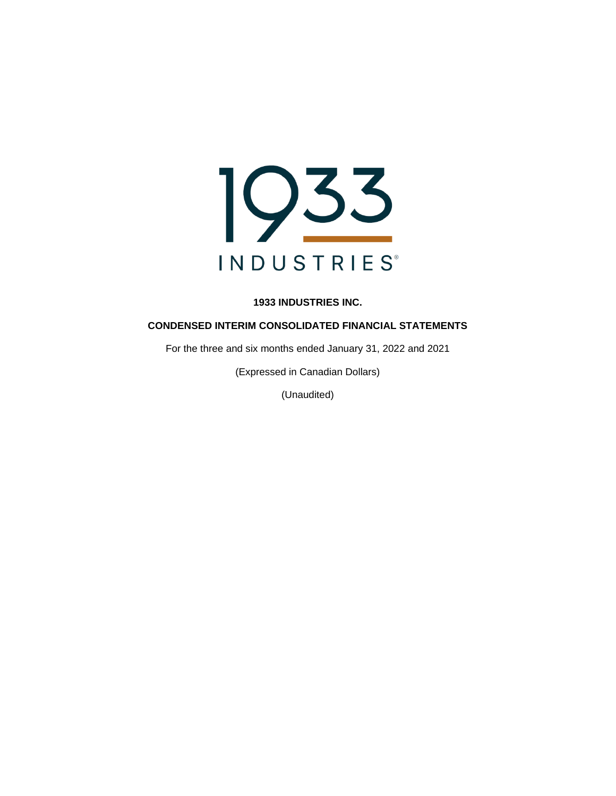

## **CONDENSED INTERIM CONSOLIDATED FINANCIAL STATEMENTS**

For the three and six months ended January 31, 2022 and 2021

(Expressed in Canadian Dollars)

(Unaudited)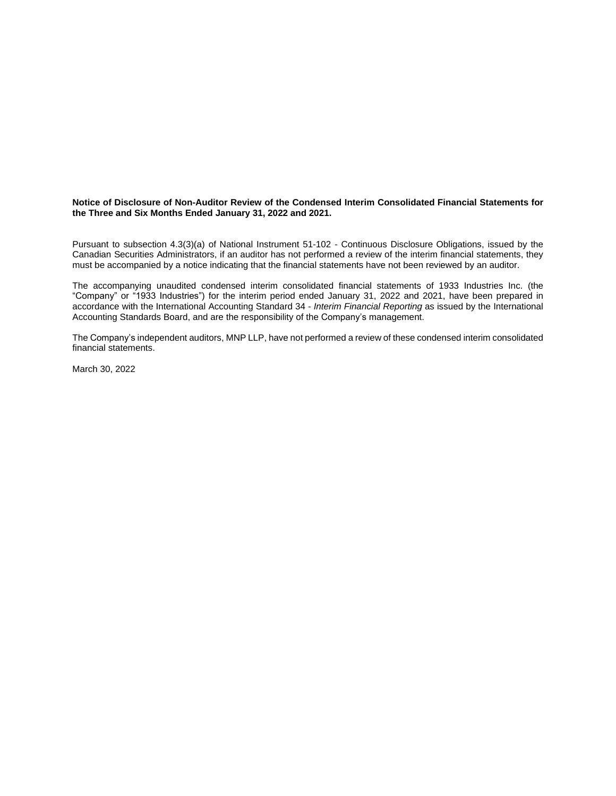#### **Notice of Disclosure of Non-Auditor Review of the Condensed Interim Consolidated Financial Statements for the Three and Six Months Ended January 31, 2022 and 2021.**

Pursuant to subsection 4.3(3)(a) of National Instrument 51-102 - Continuous Disclosure Obligations, issued by the Canadian Securities Administrators, if an auditor has not performed a review of the interim financial statements, they must be accompanied by a notice indicating that the financial statements have not been reviewed by an auditor.

The accompanying unaudited condensed interim consolidated financial statements of 1933 Industries Inc. (the "Company" or "1933 Industries") for the interim period ended January 31, 2022 and 2021, have been prepared in accordance with the International Accounting Standard 34 - *Interim Financial Reporting* as issued by the International Accounting Standards Board, and are the responsibility of the Company's management.

The Company's independent auditors, MNP LLP, have not performed a review of these condensed interim consolidated financial statements.

March 30, 2022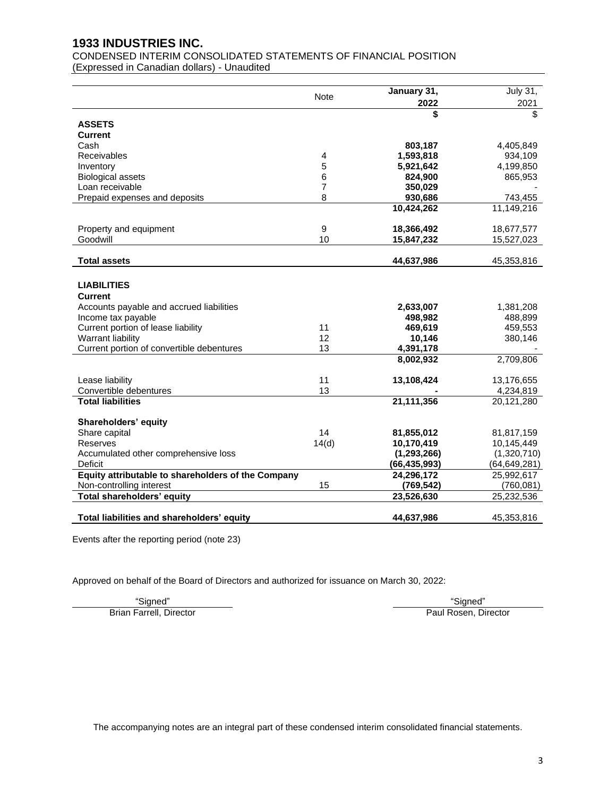CONDENSED INTERIM CONSOLIDATED STATEMENTS OF FINANCIAL POSITION (Expressed in Canadian dollars) - Unaudited

Note **January 31,** July 31, July 31, July 31, **2022** 2021 **\$** \$ **ASSETS Current**  Cash **803,187** 4,405,849 Receivables 4 **1,593,818** 934,109 Inventory 5 **5,921,642** 4,199,850 Biological assets 6 **824,900** 865,953 Loan receivable 7 **350,029** - Prepaid expenses and deposits 8 **930,686** 743,455 **10,424,262** 11,149,216 Property and equipment 9 **18,366,492** 18,677,577 Goodwill 10 **15,847,232** 15,527,023 **Total assets 44,637,986** 45,353,816 **LIABILITIES Current**  Accounts payable and accrued liabilities **2,633,007** 1,381,208 Income tax payable **498,982** 488,899 Current portion of lease liability 11 **469,619** 459,553 Warrant liability 12 **10,146** 380,146 Current portion of convertible debentures 13 4,391,178 **8,002,932** 2,709,806 Lease liability 11 **13,108,424** 13,176,655 Convertible debentures 13 **-** 4,234,819 **Total liabilities 21,111,356** 20,121,280 **Shareholders' equity** Share capital 14 **81,855,012** 81,817,159 Reserves 14(d) **10,170,419** 10,145,449 Accumulated other comprehensive loss **(1,293,266)** (1,320,710) Deficit **(66,435,993)** (64,649,281) **Equity attributable to shareholders of the Company 24,296,172** 25,992,617 Non-controlling interest 15 **(769,542)** (760,081) **Total shareholders' equity 23,526,630** 25,232,536 **Total liabilities and shareholders' equity <b>44,637,986** 45,353,816

Events after the reporting period (note 23)

Approved on behalf of the Board of Directors and authorized for issuance on March 30, 2022:

"Signed" "Signed" Brian Farrell, Director **Paul Rosen, Director** Paul Rosen, Director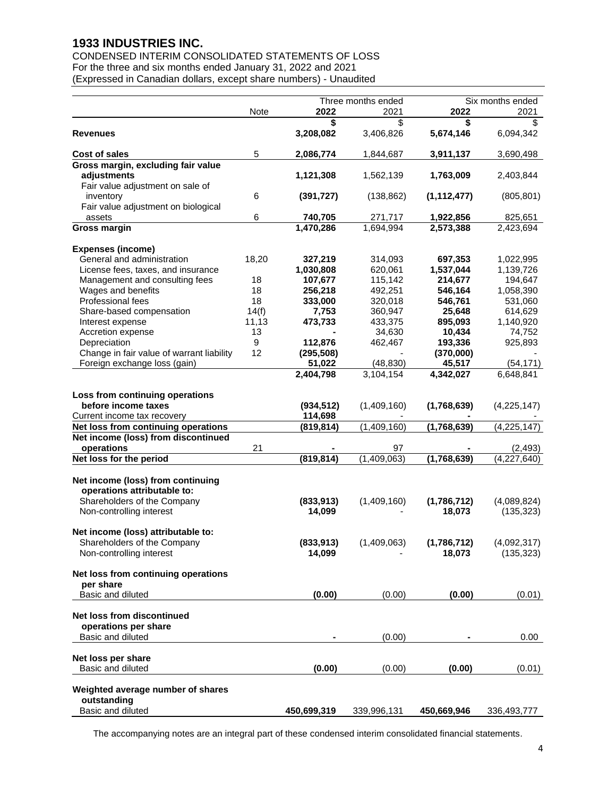CONDENSED INTERIM CONSOLIDATED STATEMENTS OF LOSS For the three and six months ended January 31, 2022 and 2021 (Expressed in Canadian dollars, except share numbers) - Unaudited

|                                                  |       |             | Three months ended | Six months ended |                        |  |
|--------------------------------------------------|-------|-------------|--------------------|------------------|------------------------|--|
|                                                  | Note  | 2022        | 2021               | 2022             | 2021                   |  |
|                                                  |       | S           | \$                 | \$               | \$                     |  |
| Revenues                                         |       | 3,208,082   | 3,406,826          | 5,674,146        | 6,094,342              |  |
|                                                  |       |             |                    |                  |                        |  |
| Cost of sales                                    | 5     | 2,086,774   | 1,844,687          | 3,911,137        | 3,690,498              |  |
| Gross margin, excluding fair value               |       |             |                    |                  |                        |  |
| adjustments                                      |       | 1,121,308   | 1,562,139          | 1,763,009        | 2,403,844              |  |
| Fair value adjustment on sale of                 |       |             |                    |                  |                        |  |
| inventory                                        | 6     | (391, 727)  | (138, 862)         | (1, 112, 477)    | (805, 801)             |  |
| Fair value adjustment on biological              |       |             |                    |                  |                        |  |
| assets                                           | 6     | 740,705     | 271,717            | 1,922,856        | 825,651                |  |
| <b>Gross margin</b>                              |       | 1,470,286   | 1,694,994          | 2,573,388        | 2,423,694              |  |
|                                                  |       |             |                    |                  |                        |  |
| <b>Expenses (income)</b>                         |       |             |                    |                  |                        |  |
| General and administration                       | 18,20 | 327,219     | 314,093            | 697,353          | 1,022,995              |  |
| License fees, taxes, and insurance               |       | 1,030,808   | 620,061            | 1,537,044        | 1,139,726              |  |
| Management and consulting fees                   | 18    | 107,677     | 115,142            | 214,677          | 194,647                |  |
| Wages and benefits                               | 18    | 256,218     | 492,251            | 546,164          | 1,058,390              |  |
| Professional fees                                | 18    | 333,000     | 320,018            | 546,761          | 531,060                |  |
| Share-based compensation                         | 14(f) | 7,753       | 360,947            | 25,648           | 614,629                |  |
| Interest expense                                 | 11,13 | 473,733     | 433,375            | 895,093          | 1,140,920              |  |
| Accretion expense                                | 13    |             | 34,630             | 10,434           | 74,752                 |  |
| Depreciation                                     | 9     | 112,876     | 462,467            | 193,336          | 925,893                |  |
| Change in fair value of warrant liability        | 12    | (295, 508)  |                    | (370,000)        |                        |  |
| Foreign exchange loss (gain)                     |       | 51,022      | (48, 830)          | 45,517           | (54, 171)              |  |
|                                                  |       | 2,404,798   | 3,104,154          | 4,342,027        | 6,648,841              |  |
|                                                  |       |             |                    |                  |                        |  |
| Loss from continuing operations                  |       |             |                    |                  |                        |  |
| before income taxes                              |       | (934, 512)  | (1,409,160)        | (1,768,639)      | (4, 225, 147)          |  |
| Current income tax recovery                      |       | 114,698     |                    |                  |                        |  |
| Net loss from continuing operations              |       | (819, 814)  | (1,409,160)        | (1,768,639)      | (4, 225, 147)          |  |
| Net income (loss) from discontinued              |       |             |                    |                  |                        |  |
| operations                                       | 21    |             | 97                 |                  | (2, 493)               |  |
| Net loss for the period                          |       | (819, 814)  | (1,409,063)        | (1,768,639)      | $\sqrt{4}$ , 227, 640) |  |
|                                                  |       |             |                    |                  |                        |  |
| Net income (loss) from continuing                |       |             |                    |                  |                        |  |
| operations attributable to:                      |       |             |                    |                  |                        |  |
| Shareholders of the Company                      |       | (833,913)   | (1,409,160)        | (1,786,712)      | (4,089,824)            |  |
| Non-controlling interest                         |       | 14,099      |                    | 18,073           | (135, 323)             |  |
|                                                  |       |             |                    |                  |                        |  |
| Net income (loss) attributable to:               |       |             |                    |                  |                        |  |
| Shareholders of the Company                      |       | (833, 913)  | (1,409,063)        | (1,786,712)      | (4,092,317)            |  |
| Non-controlling interest                         |       | 14,099      |                    | 18,073           | (135, 323)             |  |
|                                                  |       |             |                    |                  |                        |  |
| Net loss from continuing operations              |       |             |                    |                  |                        |  |
| per share                                        |       |             |                    |                  |                        |  |
| Basic and diluted                                |       |             |                    |                  |                        |  |
|                                                  |       | (0.00)      | (0.00)             | (0.00)           | (0.01)                 |  |
| Net loss from discontinued                       |       |             |                    |                  |                        |  |
|                                                  |       |             |                    |                  |                        |  |
| operations per share                             |       |             |                    |                  |                        |  |
| Basic and diluted                                |       |             | (0.00)             |                  | 0.00                   |  |
|                                                  |       |             |                    |                  |                        |  |
| Net loss per share                               |       |             |                    |                  |                        |  |
| Basic and diluted                                |       | (0.00)      | (0.00)             | (0.00)           | (0.01)                 |  |
|                                                  |       |             |                    |                  |                        |  |
| Weighted average number of shares<br>outstanding |       |             |                    |                  |                        |  |
| Basic and diluted                                |       |             |                    |                  |                        |  |
|                                                  |       | 450,699,319 | 339,996,131        | 450,669,946      | 336,493,777            |  |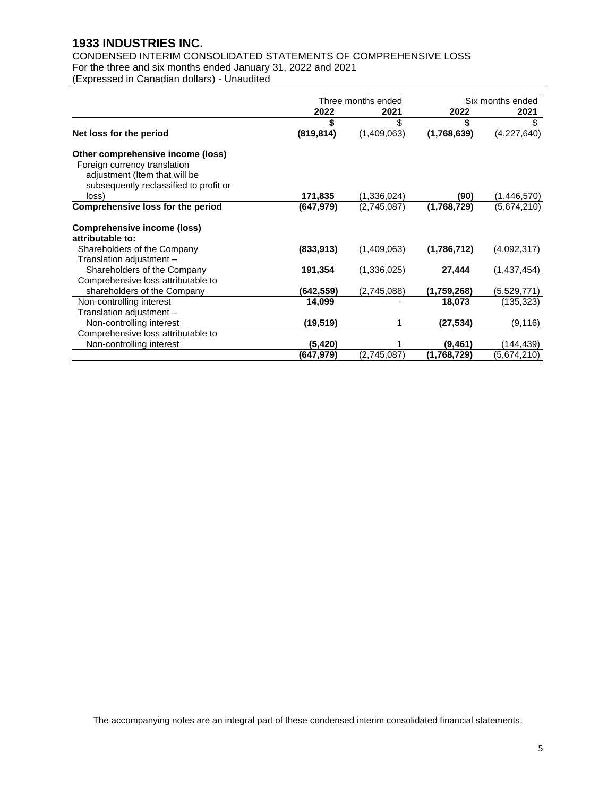CONDENSED INTERIM CONSOLIDATED STATEMENTS OF COMPREHENSIVE LOSS For the three and six months ended January 31, 2022 and 2021

(Expressed in Canadian dollars) - Unaudited

|                                                                                                                                              |            | Three months ended | Six months ended |             |  |
|----------------------------------------------------------------------------------------------------------------------------------------------|------------|--------------------|------------------|-------------|--|
|                                                                                                                                              | 2022       | 2021               | 2022             | 2021        |  |
|                                                                                                                                              |            | \$                 | \$               | \$          |  |
| Net loss for the period                                                                                                                      | (819, 814) | (1,409,063)        | (1,768,639)      | (4,227,640) |  |
| Other comprehensive income (loss)<br>Foreign currency translation<br>adjustment (Item that will be<br>subsequently reclassified to profit or |            |                    |                  |             |  |
| loss)                                                                                                                                        | 171,835    | (1,336,024)        | (90)             | (1,446,570) |  |
| <b>Comprehensive loss for the period</b>                                                                                                     | (647,979)  | (2,745,087)        | (1,768,729)      | (5,674,210) |  |
| <b>Comprehensive income (loss)</b><br>attributable to:                                                                                       |            |                    |                  |             |  |
| Shareholders of the Company<br>Translation adjustment -                                                                                      | (833, 913) | (1,409,063)        | (1,786,712)      | (4,092,317) |  |
| Shareholders of the Company                                                                                                                  | 191,354    | (1,336,025)        | 27,444           | (1,437,454) |  |
| Comprehensive loss attributable to<br>shareholders of the Company                                                                            | (642,559)  | (2,745,088)        | (1,759,268)      | (5,529,771) |  |
| Non-controlling interest                                                                                                                     | 14,099     |                    | 18,073           | (135, 323)  |  |
| Translation adjustment -                                                                                                                     |            |                    |                  |             |  |
| Non-controlling interest                                                                                                                     | (19, 519)  |                    | (27,534)         | (9, 116)    |  |
| Comprehensive loss attributable to                                                                                                           |            |                    |                  |             |  |
| Non-controlling interest                                                                                                                     | (5, 420)   |                    | (9, 461)         | (144,439)   |  |
|                                                                                                                                              | (647,979)  | (2,745,087)        | (1,768,729)      | (5,674,210) |  |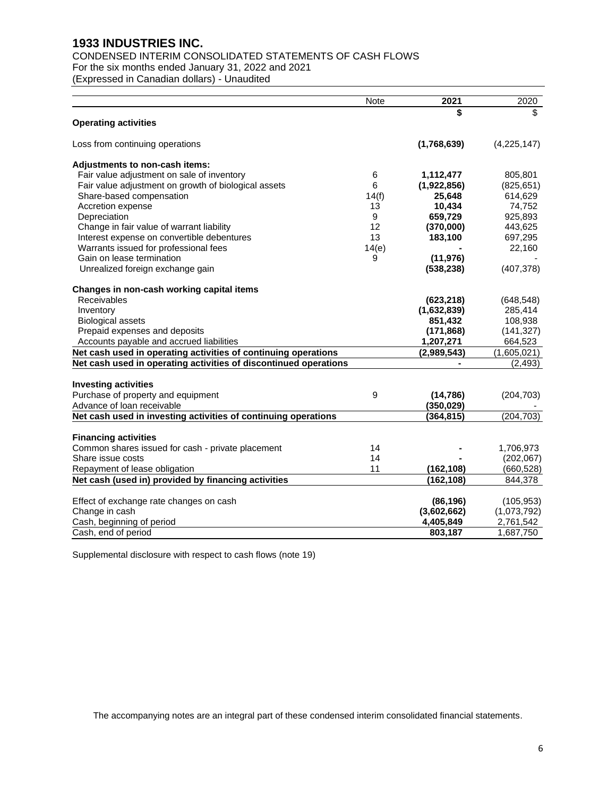# CONDENSED INTERIM CONSOLIDATED STATEMENTS OF CASH FLOWS

For the six months ended January 31, 2022 and 2021

(Expressed in Canadian dollars) - Unaudited

|                                                                  | Note  | 2021        | 2020        |
|------------------------------------------------------------------|-------|-------------|-------------|
|                                                                  |       | \$          | \$          |
| <b>Operating activities</b>                                      |       |             |             |
| Loss from continuing operations                                  |       | (1,768,639) | (4,225,147) |
| Adjustments to non-cash items:                                   |       |             |             |
| Fair value adjustment on sale of inventory                       | 6     | 1,112,477   | 805,801     |
| Fair value adjustment on growth of biological assets             | 6     | (1,922,856) | (825, 651)  |
| Share-based compensation                                         | 14(f) | 25,648      | 614,629     |
| Accretion expense                                                | 13    | 10,434      | 74,752      |
| Depreciation                                                     | 9     | 659,729     | 925,893     |
| Change in fair value of warrant liability                        | 12    | (370,000)   | 443,625     |
| Interest expense on convertible debentures                       | 13    | 183,100     | 697,295     |
| Warrants issued for professional fees                            | 14(e) |             | 22,160      |
| Gain on lease termination                                        | 9     | (11, 976)   |             |
| Unrealized foreign exchange gain                                 |       | (538, 238)  | (407, 378)  |
| Changes in non-cash working capital items                        |       |             |             |
| Receivables                                                      |       | (623, 218)  | (648, 548)  |
| Inventory                                                        |       | (1,632,839) | 285,414     |
| <b>Biological assets</b>                                         |       | 851,432     | 108,938     |
| Prepaid expenses and deposits                                    |       | (171, 868)  | (141, 327)  |
| Accounts payable and accrued liabilities                         |       | 1,207,271   | 664,523     |
| Net cash used in operating activities of continuing operations   |       | (2,989,543) | (1,605,021) |
| Net cash used in operating activities of discontinued operations |       |             | (2, 493)    |
|                                                                  |       |             |             |
| <b>Investing activities</b>                                      |       |             |             |
| Purchase of property and equipment                               | 9     | (14, 786)   | (204, 703)  |
| Advance of loan receivable                                       |       | (350, 029)  |             |
| Net cash used in investing activities of continuing operations   |       | (364, 815)  | (204, 703)  |
| <b>Financing activities</b>                                      |       |             |             |
| Common shares issued for cash - private placement                | 14    |             | 1,706,973   |
| Share issue costs                                                | 14    |             | (202, 067)  |
| Repayment of lease obligation                                    | 11    | (162, 108)  | (660,528)   |
| Net cash (used in) provided by financing activities              |       | (162, 108)  | 844,378     |
|                                                                  |       |             |             |
| Effect of exchange rate changes on cash                          |       | (86, 196)   | (105, 953)  |
| Change in cash                                                   |       | (3,602,662) | (1,073,792) |
| Cash, beginning of period                                        |       | 4,405,849   | 2,761,542   |
| Cash, end of period                                              |       | 803,187     | 1,687,750   |

Supplemental disclosure with respect to cash flows (note 19)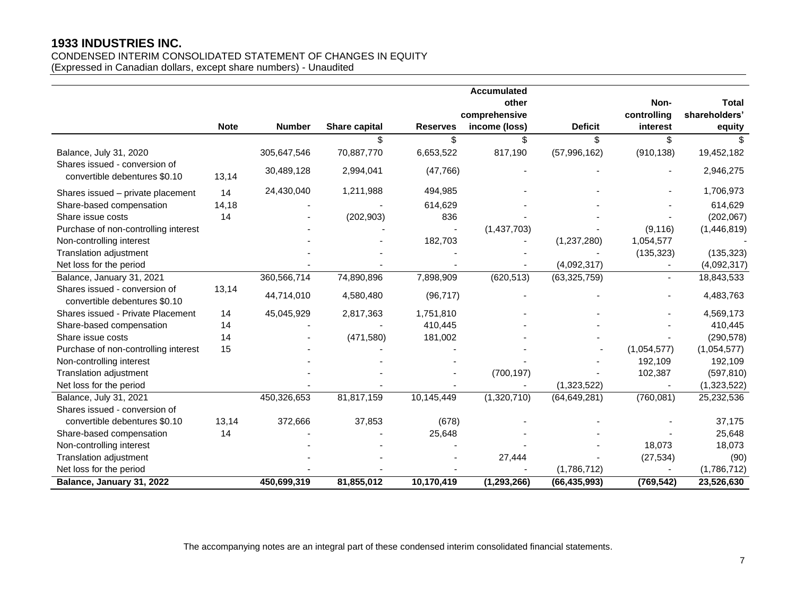# CONDENSED INTERIM CONSOLIDATED STATEMENT OF CHANGES IN EQUITY

(Expressed in Canadian dollars, except share numbers) - Unaudited

|                                                                |             |               |               |                 | <b>Accumulated</b> |                |             |                |
|----------------------------------------------------------------|-------------|---------------|---------------|-----------------|--------------------|----------------|-------------|----------------|
|                                                                |             |               |               |                 | other              |                | Non-        | <b>Total</b>   |
|                                                                |             |               |               |                 | comprehensive      |                | controlling | shareholders'  |
|                                                                | <b>Note</b> | <b>Number</b> | Share capital | <b>Reserves</b> | income (loss)      | <b>Deficit</b> | interest    | equity         |
|                                                                |             |               | \$            | \$              | \$                 | \$             | \$          | $\mathfrak{L}$ |
| Balance, July 31, 2020                                         |             | 305,647,546   | 70,887,770    | 6,653,522       | 817,190            | (57, 996, 162) | (910, 138)  | 19,452,182     |
| Shares issued - conversion of<br>convertible debentures \$0.10 | 13,14       | 30,489,128    | 2,994,041     | (47, 766)       |                    |                |             | 2,946,275      |
| Shares issued - private placement                              | 14          | 24,430,040    | 1,211,988     | 494,985         |                    |                |             | 1,706,973      |
| Share-based compensation                                       | 14,18       |               |               | 614,629         |                    |                |             | 614,629        |
| Share issue costs                                              | 14          |               | (202, 903)    | 836             |                    |                |             | (202, 067)     |
| Purchase of non-controlling interest                           |             |               |               |                 | (1,437,703)        |                | (9, 116)    | (1,446,819)    |
| Non-controlling interest                                       |             |               |               | 182,703         |                    | (1,237,280)    | 1,054,577   |                |
| Translation adjustment                                         |             |               |               |                 |                    |                | (135, 323)  | (135, 323)     |
| Net loss for the period                                        |             |               |               |                 |                    | (4,092,317)    |             | (4,092,317)    |
| Balance, January 31, 2021                                      |             | 360,566,714   | 74,890,896    | 7,898,909       | (620, 513)         | (63, 325, 759) |             | 18,843,533     |
| Shares issued - conversion of<br>convertible debentures \$0.10 | 13,14       | 44,714,010    | 4,580,480     | (96, 717)       |                    |                |             | 4,483,763      |
| Shares issued - Private Placement                              | 14          | 45,045,929    | 2,817,363     | 1,751,810       |                    |                |             | 4,569,173      |
| Share-based compensation                                       | 14          |               |               | 410,445         |                    |                |             | 410,445        |
| Share issue costs                                              | 14          |               | (471, 580)    | 181,002         |                    |                |             | (290, 578)     |
| Purchase of non-controlling interest                           | 15          |               |               |                 |                    |                | (1,054,577) | (1,054,577)    |
| Non-controlling interest                                       |             |               |               |                 |                    |                | 192,109     | 192,109        |
| Translation adjustment                                         |             |               |               |                 | (700, 197)         |                | 102,387     | (597, 810)     |
| Net loss for the period                                        |             |               |               |                 |                    | (1,323,522)    |             | (1,323,522)    |
| Balance, July 31, 2021                                         |             | 450,326,653   | 81,817,159    | 10,145,449      | (1,320,710)        | (64, 649, 281) | (760, 081)  | 25,232,536     |
| Shares issued - conversion of                                  |             |               |               |                 |                    |                |             |                |
| convertible debentures \$0.10                                  | 13,14       | 372,666       | 37,853        | (678)           |                    |                |             | 37,175         |
| Share-based compensation                                       | 14          |               |               | 25,648          |                    |                |             | 25,648         |
| Non-controlling interest                                       |             |               |               |                 |                    |                | 18,073      | 18,073         |
| Translation adjustment                                         |             |               |               |                 | 27,444             |                | (27, 534)   | (90)           |
| Net loss for the period                                        |             |               |               |                 |                    | (1,786,712)    |             | (1,786,712)    |
| Balance, January 31, 2022                                      |             | 450,699,319   | 81,855,012    | 10,170,419      | (1, 293, 266)      | (66, 435, 993) | (769, 542)  | 23,526,630     |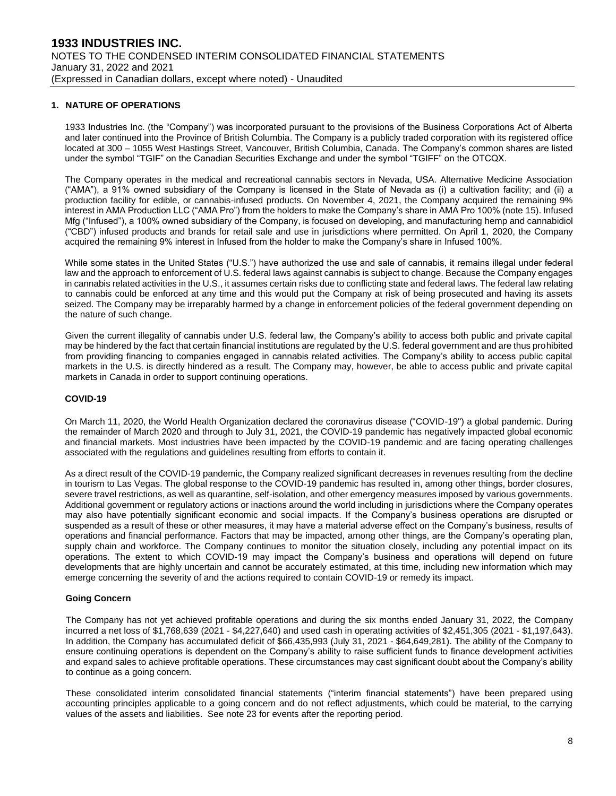#### **1. NATURE OF OPERATIONS**

1933 Industries Inc. (the "Company") was incorporated pursuant to the provisions of the Business Corporations Act of Alberta and later continued into the Province of British Columbia. The Company is a publicly traded corporation with its registered office located at 300 – 1055 West Hastings Street, Vancouver, British Columbia, Canada. The Company's common shares are listed under the symbol "TGIF" on the Canadian Securities Exchange and under the symbol "TGIFF" on the OTCQX.

The Company operates in the medical and recreational cannabis sectors in Nevada, USA. Alternative Medicine Association ("AMA"), a 91% owned subsidiary of the Company is licensed in the State of Nevada as (i) a cultivation facility; and (ii) a production facility for edible, or cannabis-infused products. On November 4, 2021, the Company acquired the remaining 9% interest in AMA Production LLC ("AMA Pro") from the holders to make the Company's share in AMA Pro 100% (note 15). Infused Mfg ("Infused"), a 100% owned subsidiary of the Company, is focused on developing, and manufacturing hemp and cannabidiol ("CBD") infused products and brands for retail sale and use in jurisdictions where permitted. On April 1, 2020, the Company acquired the remaining 9% interest in Infused from the holder to make the Company's share in Infused 100%.

While some states in the United States ("U.S.") have authorized the use and sale of cannabis, it remains illegal under federal law and the approach to enforcement of U.S. federal laws against cannabis is subject to change. Because the Company engages in cannabis related activities in the U.S., it assumes certain risks due to conflicting state and federal laws. The federal law relating to cannabis could be enforced at any time and this would put the Company at risk of being prosecuted and having its assets seized. The Company may be irreparably harmed by a change in enforcement policies of the federal government depending on the nature of such change.

Given the current illegality of cannabis under U.S. federal law, the Company's ability to access both public and private capital may be hindered by the fact that certain financial institutions are regulated by the U.S. federal government and are thus prohibited from providing financing to companies engaged in cannabis related activities. The Company's ability to access public capital markets in the U.S. is directly hindered as a result. The Company may, however, be able to access public and private capital markets in Canada in order to support continuing operations.

#### **COVID-19**

On March 11, 2020, the World Health Organization declared the coronavirus disease ("COVID-19") a global pandemic. During the remainder of March 2020 and through to July 31, 2021, the COVID-19 pandemic has negatively impacted global economic and financial markets. Most industries have been impacted by the COVID-19 pandemic and are facing operating challenges associated with the regulations and guidelines resulting from efforts to contain it.

As a direct result of the COVID-19 pandemic, the Company realized significant decreases in revenues resulting from the decline in tourism to Las Vegas. The global response to the COVID-19 pandemic has resulted in, among other things, border closures, severe travel restrictions, as well as quarantine, self-isolation, and other emergency measures imposed by various governments. Additional government or regulatory actions or inactions around the world including in jurisdictions where the Company operates may also have potentially significant economic and social impacts. If the Company's business operations are disrupted or suspended as a result of these or other measures, it may have a material adverse effect on the Company's business, results of operations and financial performance. Factors that may be impacted, among other things, are the Company's operating plan, supply chain and workforce. The Company continues to monitor the situation closely, including any potential impact on its operations. The extent to which COVID-19 may impact the Company's business and operations will depend on future developments that are highly uncertain and cannot be accurately estimated, at this time, including new information which may emerge concerning the severity of and the actions required to contain COVID-19 or remedy its impact.

#### **Going Concern**

The Company has not yet achieved profitable operations and during the six months ended January 31, 2022, the Company incurred a net loss of \$1,768,639 (2021 - \$4,227,640) and used cash in operating activities of \$2,451,305 (2021 - \$1,197,643). In addition, the Company has accumulated deficit of \$66,435,993 (July 31, 2021 - \$64,649,281). The ability of the Company to ensure continuing operations is dependent on the Company's ability to raise sufficient funds to finance development activities and expand sales to achieve profitable operations. These circumstances may cast significant doubt about the Company's ability to continue as a going concern.

These consolidated interim consolidated financial statements ("interim financial statements") have been prepared using accounting principles applicable to a going concern and do not reflect adjustments, which could be material, to the carrying values of the assets and liabilities. See note 23 for events after the reporting period.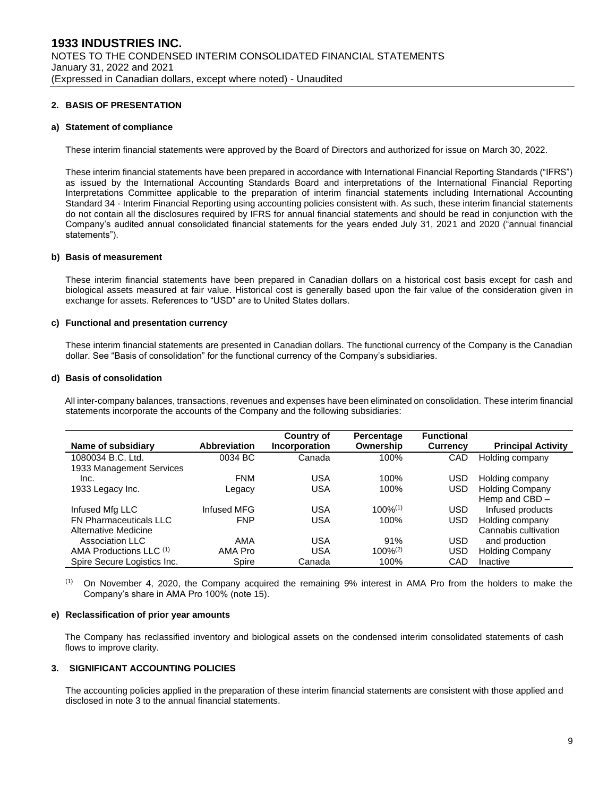#### **2. BASIS OF PRESENTATION**

#### **a) Statement of compliance**

These interim financial statements were approved by the Board of Directors and authorized for issue on March 30, 2022.

These interim financial statements have been prepared in accordance with International Financial Reporting Standards ("IFRS") as issued by the International Accounting Standards Board and interpretations of the International Financial Reporting Interpretations Committee applicable to the preparation of interim financial statements including International Accounting Standard 34 - Interim Financial Reporting using accounting policies consistent with. As such, these interim financial statements do not contain all the disclosures required by IFRS for annual financial statements and should be read in conjunction with the Company's audited annual consolidated financial statements for the years ended July 31, 2021 and 2020 ("annual financial statements").

#### **b) Basis of measurement**

These interim financial statements have been prepared in Canadian dollars on a historical cost basis except for cash and biological assets measured at fair value. Historical cost is generally based upon the fair value of the consideration given in exchange for assets. References to "USD" are to United States dollars.

#### **c) Functional and presentation currency**

These interim financial statements are presented in Canadian dollars. The functional currency of the Company is the Canadian dollar. See "Basis of consolidation" for the functional currency of the Company's subsidiaries.

#### **d) Basis of consolidation**

All inter-company balances, transactions, revenues and expenses have been eliminated on consolidation. These interim financial statements incorporate the accounts of the Company and the following subsidiaries:

| Name of subsidiary            | Abbreviation | <b>Country of</b><br><b>Incorporation</b> | Percentage<br>Ownership | <b>Functional</b><br><b>Currency</b> | <b>Principal Activity</b> |
|-------------------------------|--------------|-------------------------------------------|-------------------------|--------------------------------------|---------------------------|
| 1080034 B.C. Ltd.             | 0034 BC      | Canada                                    | 100%                    | CAD                                  | Holding company           |
| 1933 Management Services      |              |                                           |                         |                                      |                           |
| Inc.                          | <b>FNM</b>   | USA                                       | 100%                    | USD                                  | Holding company           |
| 1933 Legacy Inc.              | Legacy       | USA                                       | 100%                    | <b>USD</b>                           | <b>Holding Company</b>    |
|                               |              |                                           |                         |                                      | Hemp and CBD -            |
| Infused Mfg LLC               | Infused MFG  | USA                                       | $100\%^{(1)}$           | USD                                  | Infused products          |
| <b>FN Pharmaceuticals LLC</b> | <b>FNP</b>   | USA                                       | 100%                    | <b>USD</b>                           | Holding company           |
| Alternative Medicine          |              |                                           |                         |                                      | Cannabis cultivation      |
| Association LLC               | AMA          | USA                                       | 91%                     | USD                                  | and production            |
| AMA Productions LLC (1)       | AMA Pro      | USA                                       | $100\%^{(2)}$           | <b>USD</b>                           | <b>Holding Company</b>    |
| Spire Secure Logistics Inc.   | Spire        | Canada                                    | 100%                    | CAD                                  | Inactive                  |

(1) On November 4, 2020, the Company acquired the remaining 9% interest in AMA Pro from the holders to make the Company's share in AMA Pro 100% (note 15).

#### **e) Reclassification of prior year amounts**

The Company has reclassified inventory and biological assets on the condensed interim consolidated statements of cash flows to improve clarity.

#### **3. SIGNIFICANT ACCOUNTING POLICIES**

The accounting policies applied in the preparation of these interim financial statements are consistent with those applied and disclosed in note 3 to the annual financial statements.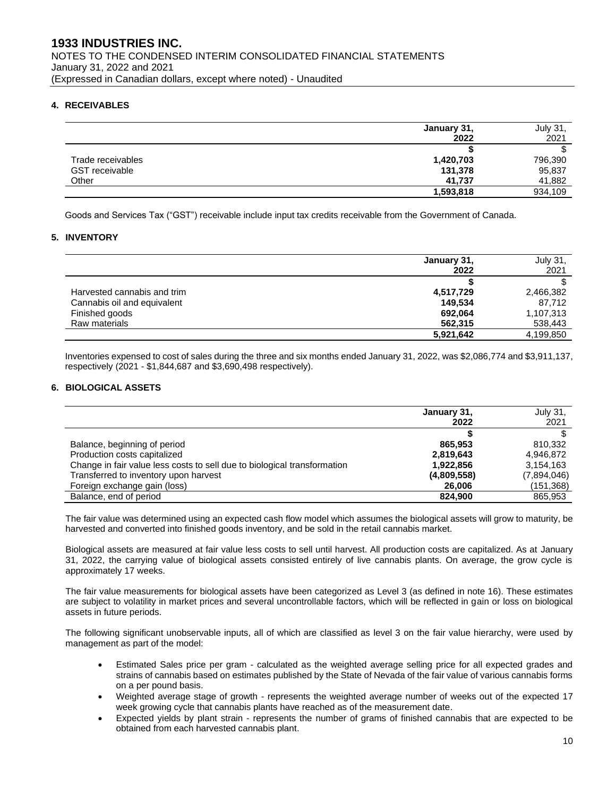## **4. RECEIVABLES**

|                       | January 31, | July 31, |
|-----------------------|-------------|----------|
|                       | 2022        | 2021     |
|                       |             |          |
| Trade receivables     | 1,420,703   | 796,390  |
| <b>GST</b> receivable | 131,378     | 95,837   |
| Other                 | 41.737      | 41,882   |
|                       | 1,593,818   | 934,109  |

Goods and Services Tax ("GST") receivable include input tax credits receivable from the Government of Canada.

#### **5. INVENTORY**

|                             | January 31, | <b>July 31,</b> |
|-----------------------------|-------------|-----------------|
|                             | 2022        | 2021            |
|                             |             |                 |
| Harvested cannabis and trim | 4,517,729   | 2,466,382       |
| Cannabis oil and equivalent | 149.534     | 87.712          |
| Finished goods              | 692,064     | 1,107,313       |
| Raw materials               | 562,315     | 538,443         |
|                             | 5,921,642   | 4,199,850       |

Inventories expensed to cost of sales during the three and six months ended January 31, 2022, was \$2,086,774 and \$3,911,137, respectively (2021 - \$1,844,687 and \$3,690,498 respectively).

#### **6. BIOLOGICAL ASSETS**

|                                                                          | January 31, | July 31,    |
|--------------------------------------------------------------------------|-------------|-------------|
|                                                                          | 2022        | 2021        |
|                                                                          |             |             |
| Balance, beginning of period                                             | 865.953     | 810.332     |
| Production costs capitalized                                             | 2,819,643   | 4.946.872   |
| Change in fair value less costs to sell due to biological transformation | 1,922,856   | 3,154,163   |
| Transferred to inventory upon harvest                                    | (4,809,558) | (7,894,046) |
| Foreign exchange gain (loss)                                             | 26,006      | (151,368)   |
| Balance, end of period                                                   | 824.900     | 865,953     |

The fair value was determined using an expected cash flow model which assumes the biological assets will grow to maturity, be harvested and converted into finished goods inventory, and be sold in the retail cannabis market.

Biological assets are measured at fair value less costs to sell until harvest. All production costs are capitalized. As at January 31, 2022, the carrying value of biological assets consisted entirely of live cannabis plants. On average, the grow cycle is approximately 17 weeks.

The fair value measurements for biological assets have been categorized as Level 3 (as defined in note 16). These estimates are subject to volatility in market prices and several uncontrollable factors, which will be reflected in gain or loss on biological assets in future periods.

The following significant unobservable inputs, all of which are classified as level 3 on the fair value hierarchy, were used by management as part of the model:

- Estimated Sales price per gram calculated as the weighted average selling price for all expected grades and strains of cannabis based on estimates published by the State of Nevada of the fair value of various cannabis forms on a per pound basis.
- Weighted average stage of growth represents the weighted average number of weeks out of the expected 17 week growing cycle that cannabis plants have reached as of the measurement date.
- Expected yields by plant strain represents the number of grams of finished cannabis that are expected to be obtained from each harvested cannabis plant.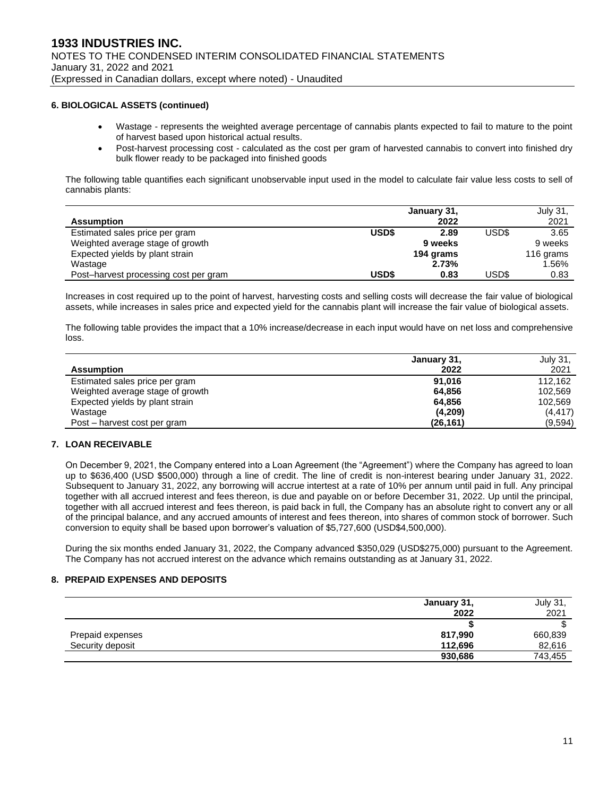#### **6. BIOLOGICAL ASSETS (continued)**

- Wastage represents the weighted average percentage of cannabis plants expected to fail to mature to the point of harvest based upon historical actual results.
- Post-harvest processing cost calculated as the cost per gram of harvested cannabis to convert into finished dry bulk flower ready to be packaged into finished goods

The following table quantifies each significant unobservable input used in the model to calculate fair value less costs to sell of cannabis plants:

|                                       |              | January 31, |       | July 31,  |
|---------------------------------------|--------------|-------------|-------|-----------|
| <b>Assumption</b>                     |              | 2022        |       | 2021      |
| Estimated sales price per gram        | <b>USD\$</b> | 2.89        | USD\$ | 3.65      |
| Weighted average stage of growth      |              | 9 weeks     |       | 9 weeks   |
| Expected yields by plant strain       |              | 194 grams   |       | 116 grams |
| Wastage                               |              | 2.73%       |       | 1.56%     |
| Post-harvest processing cost per gram | USD\$        | 0.83        | USD\$ | 0.83      |

Increases in cost required up to the point of harvest, harvesting costs and selling costs will decrease the fair value of biological assets, while increases in sales price and expected yield for the cannabis plant will increase the fair value of biological assets.

The following table provides the impact that a 10% increase/decrease in each input would have on net loss and comprehensive loss.

|                                  | January 31, | July 31, |
|----------------------------------|-------------|----------|
| <b>Assumption</b>                | 2022        | 2021     |
| Estimated sales price per gram   | 91.016      | 112.162  |
| Weighted average stage of growth | 64.856      | 102.569  |
| Expected yields by plant strain  | 64.856      | 102.569  |
| Wastage                          | (4,209)     | (4, 417) |
| Post – harvest cost per gram     | (26, 161)   | (9,594)  |

## **7. LOAN RECEIVABLE**

On December 9, 2021, the Company entered into a Loan Agreement (the "Agreement") where the Company has agreed to loan up to \$636,400 (USD \$500,000) through a line of credit. The line of credit is non-interest bearing under January 31, 2022. Subsequent to January 31, 2022, any borrowing will accrue intertest at a rate of 10% per annum until paid in full. Any principal together with all accrued interest and fees thereon, is due and payable on or before December 31, 2022. Up until the principal, together with all accrued interest and fees thereon, is paid back in full, the Company has an absolute right to convert any or all of the principal balance, and any accrued amounts of interest and fees thereon, into shares of common stock of borrower. Such conversion to equity shall be based upon borrower's valuation of \$5,727,600 (USD\$4,500,000).

During the six months ended January 31, 2022, the Company advanced \$350,029 (USD\$275,000) pursuant to the Agreement. The Company has not accrued interest on the advance which remains outstanding as at January 31, 2022.

#### **8. PREPAID EXPENSES AND DEPOSITS**

|                  | January 31, | July 31, |
|------------------|-------------|----------|
|                  | 2022        | 2021     |
|                  |             | ◠        |
| Prepaid expenses | 817,990     | 660,839  |
| Security deposit | 112.696     | 82,616   |
|                  | 930,686     | 743,455  |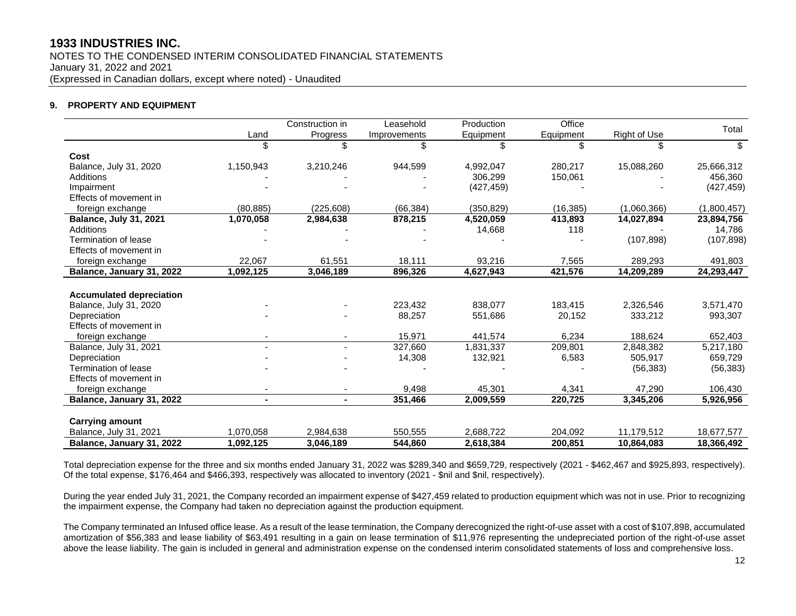NOTES TO THE CONDENSED INTERIM CONSOLIDATED FINANCIAL STATEMENTS January 31, 2022 and 2021 (Expressed in Canadian dollars, except where noted) - Unaudited

#### **9. PROPERTY AND EQUIPMENT**

|                                 |                | Construction in | Leasehold    | Production | Office    |              |             |
|---------------------------------|----------------|-----------------|--------------|------------|-----------|--------------|-------------|
|                                 | Land           | <b>Progress</b> | Improvements | Equipment  | Equipment | Right of Use | Total       |
|                                 |                | \$.             | \$           | \$         | \$        | \$           | \$          |
| Cost                            |                |                 |              |            |           |              |             |
| Balance, July 31, 2020          | 1,150,943      | 3,210,246       | 944,599      | 4,992,047  | 280,217   | 15,088,260   | 25,666,312  |
| Additions                       |                |                 |              | 306,299    | 150,061   |              | 456,360     |
| Impairment                      |                |                 |              | (427, 459) |           |              | (427, 459)  |
| Effects of movement in          |                |                 |              |            |           |              |             |
| foreign exchange                | (80, 885)      | (225,608)       | (66, 384)    | (350,829)  | (16, 385) | (1,060,366)  | (1,800,457) |
| Balance, July 31, 2021          | 1,070,058      | 2,984,638       | 878,215      | 4,520,059  | 413,893   | 14,027,894   | 23,894,756  |
| Additions                       |                |                 |              | 14,668     | 118       |              | 14,786      |
| <b>Termination of lease</b>     |                |                 |              |            |           | (107, 898)   | (107, 898)  |
| Effects of movement in          |                |                 |              |            |           |              |             |
| foreign exchange                | 22,067         | 61,551          | 18,111       | 93,216     | 7,565     | 289,293      | 491,803     |
| Balance, January 31, 2022       | 1,092,125      | 3,046,189       | 896,326      | 4,627,943  | 421,576   | 14,209,289   | 24,293,447  |
|                                 |                |                 |              |            |           |              |             |
| <b>Accumulated depreciation</b> |                |                 |              |            |           |              |             |
| Balance, July 31, 2020          |                |                 | 223.432      | 838.077    | 183.415   | 2,326,546    | 3,571,470   |
| Depreciation                    |                |                 | 88,257       | 551,686    | 20,152    | 333,212      | 993,307     |
| Effects of movement in          |                |                 |              |            |           |              |             |
| foreign exchange                |                |                 | 15,971       | 441,574    | 6,234     | 188,624      | 652,403     |
| Balance, July 31, 2021          |                |                 | 327,660      | 1,831,337  | 209,801   | 2,848,382    | 5,217,180   |
| Depreciation                    |                |                 | 14,308       | 132,921    | 6,583     | 505,917      | 659,729     |
| Termination of lease            |                |                 |              |            |           | (56, 383)    | (56, 383)   |
| Effects of movement in          |                |                 |              |            |           |              |             |
| foreign exchange                | ٠              |                 | 9,498        | 45,301     | 4,341     | 47,290       | 106,430     |
| Balance, January 31, 2022       | $\blacksquare$ | $\blacksquare$  | 351,466      | 2,009,559  | 220,725   | 3,345,206    | 5,926,956   |
|                                 |                |                 |              |            |           |              |             |
| <b>Carrying amount</b>          |                |                 |              |            |           |              |             |
| Balance, July 31, 2021          | 1,070,058      | 2,984,638       | 550,555      | 2,688,722  | 204,092   | 11,179,512   | 18,677,577  |
| Balance, January 31, 2022       | 1,092,125      | 3,046,189       | 544,860      | 2,618,384  | 200.851   | 10.864.083   | 18,366,492  |

Total depreciation expense for the three and six months ended January 31, 2022 was \$289,340 and \$659,729, respectively (2021 - \$462,467 and \$925,893, respectively). Of the total expense, \$176,464 and \$466,393, respectively was allocated to inventory (2021 - \$nil and \$nil, respectively).

During the year ended July 31, 2021, the Company recorded an impairment expense of \$427,459 related to production equipment which was not in use. Prior to recognizing the impairment expense, the Company had taken no depreciation against the production equipment.

The Company terminated an Infused office lease. As a result of the lease termination, the Company derecognized the right-of-use asset with a cost of \$107,898, accumulated amortization of \$56,383 and lease liability of \$63,491 resulting in a gain on lease termination of \$11,976 representing the undepreciated portion of the right-of-use asset above the lease liability. The gain is included in general and administration expense on the condensed interim consolidated statements of loss and comprehensive loss.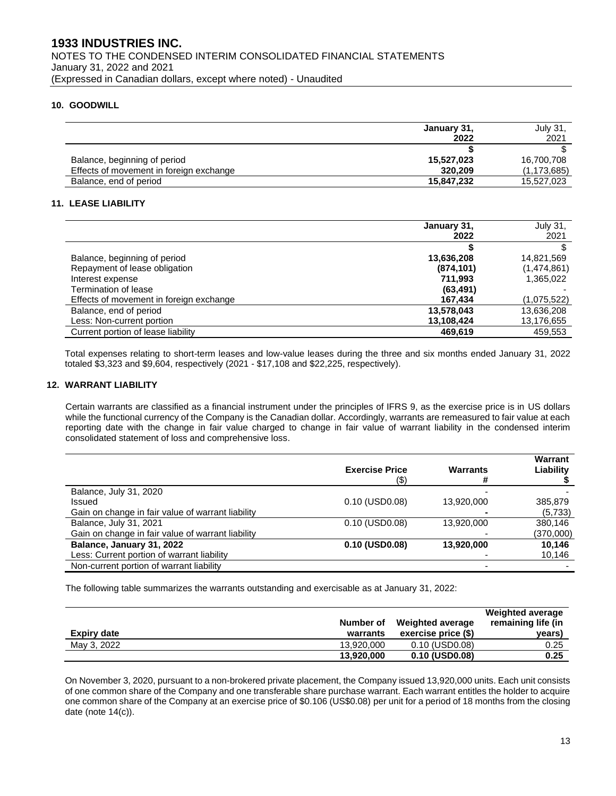### **10. GOODWILL**

|                                         | January 31, | July 31,      |
|-----------------------------------------|-------------|---------------|
|                                         | 2022        | 2021          |
|                                         |             |               |
| Balance, beginning of period            | 15,527,023  | 16,700,708    |
| Effects of movement in foreign exchange | 320,209     | (1, 173, 685) |
| Balance, end of period                  | 15,847,232  | 15,527,023    |

#### **11. LEASE LIABILITY**

|                                         | January 31, | July 31,    |
|-----------------------------------------|-------------|-------------|
|                                         | 2022        | 2021        |
|                                         |             |             |
| Balance, beginning of period            | 13,636,208  | 14,821,569  |
| Repayment of lease obligation           | (874, 101)  | (1,474,861) |
| Interest expense                        | 711.993     | 1,365,022   |
| Termination of lease                    | (63, 491)   |             |
| Effects of movement in foreign exchange | 167.434     | (1,075,522) |
| Balance, end of period                  | 13,578,043  | 13,636,208  |
| Less: Non-current portion               | 13,108,424  | 13,176,655  |
| Current portion of lease liability      | 469,619     | 459,553     |

Total expenses relating to short-term leases and low-value leases during the three and six months ended January 31, 2022 totaled \$3,323 and \$9,604, respectively (2021 - \$17,108 and \$22,225, respectively).

#### **12. WARRANT LIABILITY**

Certain warrants are classified as a financial instrument under the principles of IFRS 9, as the exercise price is in US dollars while the functional currency of the Company is the Canadian dollar. Accordingly, warrants are remeasured to fair value at each reporting date with the change in fair value charged to change in fair value of warrant liability in the condensed interim consolidated statement of loss and comprehensive loss.

|                                                   | <b>Exercise Price</b><br>(\$) | <b>Warrants</b> | Warrant<br>Liability |
|---------------------------------------------------|-------------------------------|-----------------|----------------------|
| Balance, July 31, 2020                            |                               |                 |                      |
| Issued                                            | 0.10 (USD0.08)                | 13,920,000      | 385,879              |
| Gain on change in fair value of warrant liability |                               |                 | (5,733)              |
| Balance, July 31, 2021                            | 0.10 (USD0.08)                | 13,920,000      | 380.146              |
| Gain on change in fair value of warrant liability |                               |                 | (370,000)            |
| Balance, January 31, 2022                         | 0.10 (USD0.08)                | 13,920,000      | 10,146               |
| Less: Current portion of warrant liability        |                               |                 | 10,146               |
| Non-current portion of warrant liability          |                               |                 |                      |

The following table summarizes the warrants outstanding and exercisable as at January 31, 2022:

| <b>Expiry date</b> | Number of<br>warrants | <b>Weighted average</b><br>exercise price (\$) | <b>Weighted average</b><br>remaining life (in<br>years) |
|--------------------|-----------------------|------------------------------------------------|---------------------------------------------------------|
| May 3, 2022        | 13.920.000            | $0.10$ (USD $0.08$ )                           | 0.25                                                    |
|                    | 13,920,000            | 0.10 (USD0.08)                                 | 0.25                                                    |

On November 3, 2020, pursuant to a non-brokered private placement, the Company issued 13,920,000 units. Each unit consists of one common share of the Company and one transferable share purchase warrant. Each warrant entitles the holder to acquire one common share of the Company at an exercise price of \$0.106 (US\$0.08) per unit for a period of 18 months from the closing date (note 14(c)).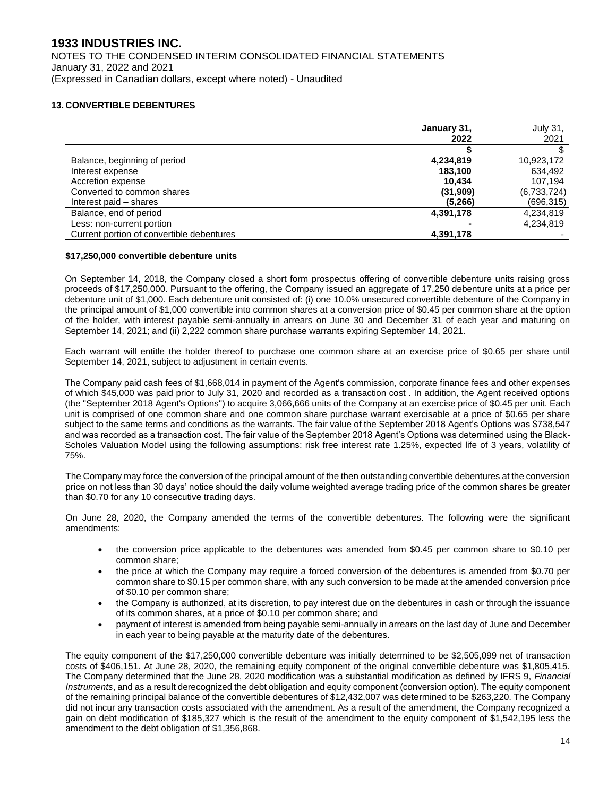#### **13. CONVERTIBLE DEBENTURES**

|                                           | January 31, | <b>July 31.</b> |
|-------------------------------------------|-------------|-----------------|
|                                           | 2022        | 2021            |
|                                           |             |                 |
| Balance, beginning of period              | 4,234,819   | 10,923,172      |
| Interest expense                          | 183.100     | 634,492         |
| Accretion expense                         | 10.434      | 107.194         |
| Converted to common shares                | (31,909)    | (6,733,724)     |
| Interest paid – shares                    | (5,266)     | (696,315)       |
| Balance, end of period                    | 4,391,178   | 4,234,819       |
| Less: non-current portion                 |             | 4,234,819       |
| Current portion of convertible debentures | 4,391,178   |                 |

#### **\$17,250,000 convertible debenture units**

On September 14, 2018, the Company closed a short form prospectus offering of convertible debenture units raising gross proceeds of \$17,250,000. Pursuant to the offering, the Company issued an aggregate of 17,250 debenture units at a price per debenture unit of \$1,000. Each debenture unit consisted of: (i) one 10.0% unsecured convertible debenture of the Company in the principal amount of \$1,000 convertible into common shares at a conversion price of \$0.45 per common share at the option of the holder, with interest payable semi-annually in arrears on June 30 and December 31 of each year and maturing on September 14, 2021; and (ii) 2,222 common share purchase warrants expiring September 14, 2021.

Each warrant will entitle the holder thereof to purchase one common share at an exercise price of \$0.65 per share until September 14, 2021, subject to adjustment in certain events.

The Company paid cash fees of \$1,668,014 in payment of the Agent's commission, corporate finance fees and other expenses of which \$45,000 was paid prior to July 31, 2020 and recorded as a transaction cost . In addition, the Agent received options (the "September 2018 Agent's Options") to acquire 3,066,666 units of the Company at an exercise price of \$0.45 per unit. Each unit is comprised of one common share and one common share purchase warrant exercisable at a price of \$0.65 per share subject to the same terms and conditions as the warrants. The fair value of the September 2018 Agent's Options was \$738,547 and was recorded as a transaction cost. The fair value of the September 2018 Agent's Options was determined using the Black-Scholes Valuation Model using the following assumptions: risk free interest rate 1.25%, expected life of 3 years, volatility of 75%.

The Company may force the conversion of the principal amount of the then outstanding convertible debentures at the conversion price on not less than 30 days' notice should the daily volume weighted average trading price of the common shares be greater than \$0.70 for any 10 consecutive trading days.

On June 28, 2020, the Company amended the terms of the convertible debentures. The following were the significant amendments:

- the conversion price applicable to the debentures was amended from \$0.45 per common share to \$0.10 per common share;
- the price at which the Company may require a forced conversion of the debentures is amended from \$0.70 per common share to \$0.15 per common share, with any such conversion to be made at the amended conversion price of \$0.10 per common share;
- the Company is authorized, at its discretion, to pay interest due on the debentures in cash or through the issuance of its common shares, at a price of \$0.10 per common share; and
- payment of interest is amended from being payable semi-annually in arrears on the last day of June and December in each year to being payable at the maturity date of the debentures.

The equity component of the \$17,250,000 convertible debenture was initially determined to be \$2,505,099 net of transaction costs of \$406,151. At June 28, 2020, the remaining equity component of the original convertible debenture was \$1,805,415. The Company determined that the June 28, 2020 modification was a substantial modification as defined by IFRS 9, *Financial Instruments*, and as a result derecognized the debt obligation and equity component (conversion option). The equity component of the remaining principal balance of the convertible debentures of \$12,432,007 was determined to be \$263,220. The Company did not incur any transaction costs associated with the amendment. As a result of the amendment, the Company recognized a gain on debt modification of \$185,327 which is the result of the amendment to the equity component of \$1,542,195 less the amendment to the debt obligation of \$1,356,868.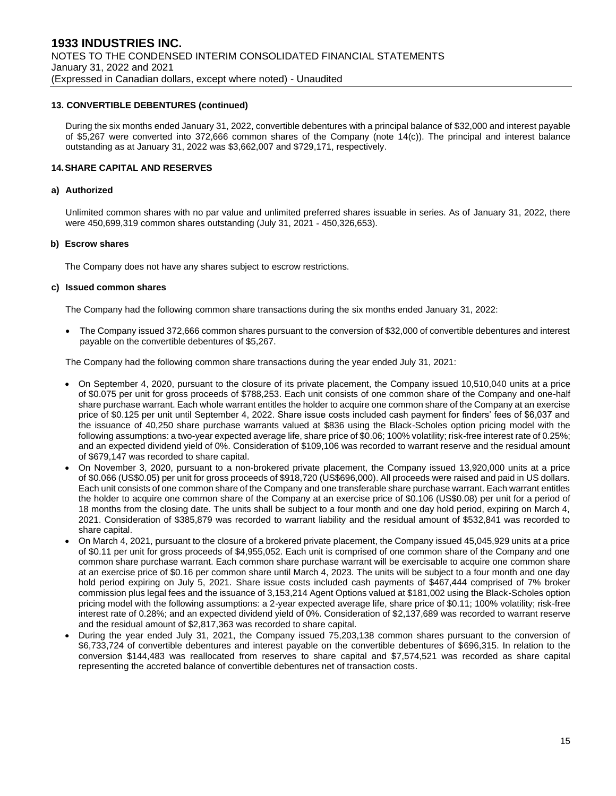#### **13. CONVERTIBLE DEBENTURES (continued)**

During the six months ended January 31, 2022, convertible debentures with a principal balance of \$32,000 and interest payable of \$5,267 were converted into 372,666 common shares of the Company (note 14(c)). The principal and interest balance outstanding as at January 31, 2022 was \$3,662,007 and \$729,171, respectively.

#### **14.SHARE CAPITAL AND RESERVES**

#### **a) Authorized**

Unlimited common shares with no par value and unlimited preferred shares issuable in series. As of January 31, 2022, there were 450,699,319 common shares outstanding (July 31, 2021 - 450,326,653).

#### **b) Escrow shares**

The Company does not have any shares subject to escrow restrictions.

#### **c) Issued common shares**

The Company had the following common share transactions during the six months ended January 31, 2022:

• The Company issued 372,666 common shares pursuant to the conversion of \$32,000 of convertible debentures and interest payable on the convertible debentures of \$5,267.

The Company had the following common share transactions during the year ended July 31, 2021:

- On September 4, 2020, pursuant to the closure of its private placement, the Company issued 10,510,040 units at a price of \$0.075 per unit for gross proceeds of \$788,253. Each unit consists of one common share of the Company and one-half share purchase warrant. Each whole warrant entitles the holder to acquire one common share of the Company at an exercise price of \$0.125 per unit until September 4, 2022. Share issue costs included cash payment for finders' fees of \$6,037 and the issuance of 40,250 share purchase warrants valued at \$836 using the Black-Scholes option pricing model with the following assumptions: a two-year expected average life, share price of \$0.06; 100% volatility; risk-free interest rate of 0.25%; and an expected dividend yield of 0%. Consideration of \$109,106 was recorded to warrant reserve and the residual amount of \$679,147 was recorded to share capital.
- On November 3, 2020, pursuant to a non-brokered private placement, the Company issued 13,920,000 units at a price of \$0.066 (US\$0.05) per unit for gross proceeds of \$918,720 (US\$696,000). All proceeds were raised and paid in US dollars. Each unit consists of one common share of the Company and one transferable share purchase warrant. Each warrant entitles the holder to acquire one common share of the Company at an exercise price of \$0.106 (US\$0.08) per unit for a period of 18 months from the closing date. The units shall be subject to a four month and one day hold period, expiring on March 4, 2021. Consideration of \$385,879 was recorded to warrant liability and the residual amount of \$532,841 was recorded to share capital.
- On March 4, 2021, pursuant to the closure of a brokered private placement, the Company issued 45,045,929 units at a price of \$0.11 per unit for gross proceeds of \$4,955,052. Each unit is comprised of one common share of the Company and one common share purchase warrant. Each common share purchase warrant will be exercisable to acquire one common share at an exercise price of \$0.16 per common share until March 4, 2023. The units will be subject to a four month and one day hold period expiring on July 5, 2021. Share issue costs included cash payments of \$467,444 comprised of 7% broker commission plus legal fees and the issuance of 3,153,214 Agent Options valued at \$181,002 using the Black-Scholes option pricing model with the following assumptions: a 2-year expected average life, share price of \$0.11; 100% volatility; risk-free interest rate of 0.28%; and an expected dividend yield of 0%. Consideration of \$2,137,689 was recorded to warrant reserve and the residual amount of \$2,817,363 was recorded to share capital.
- During the year ended July 31, 2021, the Company issued 75,203,138 common shares pursuant to the conversion of \$6,733,724 of convertible debentures and interest payable on the convertible debentures of \$696,315. In relation to the conversion \$144,483 was reallocated from reserves to share capital and \$7,574,521 was recorded as share capital representing the accreted balance of convertible debentures net of transaction costs.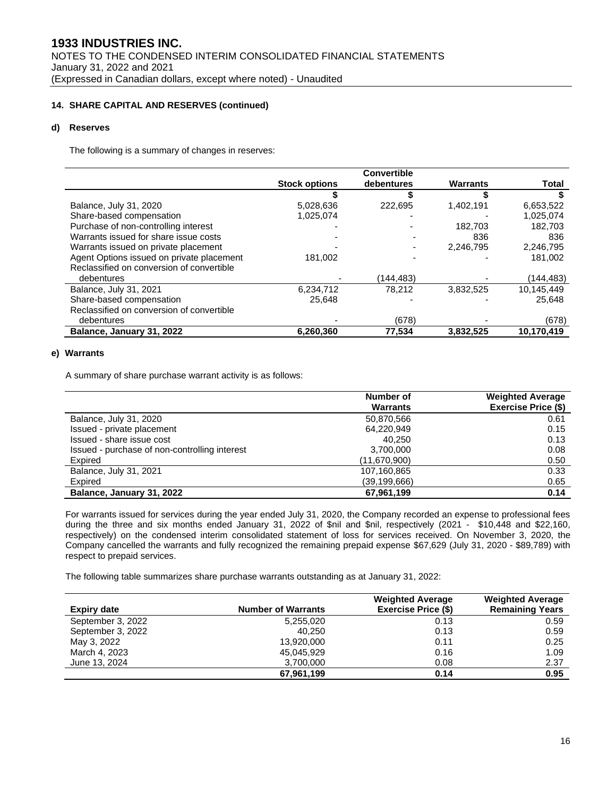### **14. SHARE CAPITAL AND RESERVES (continued)**

### **d) Reserves**

The following is a summary of changes in reserves:

|                                           |                      | <b>Convertible</b> |                 |            |
|-------------------------------------------|----------------------|--------------------|-----------------|------------|
|                                           | <b>Stock options</b> | debentures         | <b>Warrants</b> | Total      |
|                                           |                      |                    |                 |            |
| Balance, July 31, 2020                    | 5,028,636            | 222.695            | 1,402,191       | 6,653,522  |
| Share-based compensation                  | 1,025,074            |                    |                 | 1,025,074  |
| Purchase of non-controlling interest      |                      |                    | 182.703         | 182.703    |
| Warrants issued for share issue costs     |                      |                    | 836             | 836        |
| Warrants issued on private placement      |                      |                    | 2,246,795       | 2,246,795  |
| Agent Options issued on private placement | 181,002              |                    |                 | 181.002    |
| Reclassified on conversion of convertible |                      |                    |                 |            |
| debentures                                |                      | (144,483)          |                 | (144,483)  |
| Balance, July 31, 2021                    | 6,234,712            | 78.212             | 3,832,525       | 10.145.449 |
| Share-based compensation                  | 25.648               |                    |                 | 25.648     |
| Reclassified on conversion of convertible |                      |                    |                 |            |
| debentures                                |                      | (678)              |                 | (678)      |
| Balance, January 31, 2022                 | 6,260,360            | 77,534             | 3,832,525       | 10,170,419 |
|                                           |                      |                    |                 |            |

## **e) Warrants**

A summary of share purchase warrant activity is as follows:

|                                               | Number of<br><b>Warrants</b> | <b>Weighted Average</b><br>Exercise Price (\$) |
|-----------------------------------------------|------------------------------|------------------------------------------------|
| Balance, July 31, 2020                        | 50,870,566                   | 0.61                                           |
| Issued - private placement                    | 64,220,949                   | 0.15                                           |
| Issued - share issue cost                     | 40.250                       | 0.13                                           |
| Issued - purchase of non-controlling interest | 3.700.000                    | 0.08                                           |
| Expired                                       | (11,670,900)                 | 0.50                                           |
| Balance, July 31, 2021                        | 107,160,865                  | 0.33                                           |
| Expired                                       | (39, 199, 666)               | 0.65                                           |
| Balance, January 31, 2022                     | 67,961,199                   | 0.14                                           |

For warrants issued for services during the year ended July 31, 2020, the Company recorded an expense to professional fees during the three and six months ended January 31, 2022 of \$nil and \$nil, respectively (2021 - \$10,448 and \$22,160, respectively) on the condensed interim consolidated statement of loss for services received. On November 3, 2020, the Company cancelled the warrants and fully recognized the remaining prepaid expense \$67,629 (July 31, 2020 - \$89,789) with respect to prepaid services.

The following table summarizes share purchase warrants outstanding as at January 31, 2022:

|                    |                           | <b>Weighted Average</b>    | <b>Weighted Average</b> |
|--------------------|---------------------------|----------------------------|-------------------------|
| <b>Expiry date</b> | <b>Number of Warrants</b> | <b>Exercise Price (\$)</b> | <b>Remaining Years</b>  |
| September 3, 2022  | 5,255,020                 | 0.13                       | 0.59                    |
| September 3, 2022  | 40.250                    | 0.13                       | 0.59                    |
| May 3, 2022        | 13,920,000                | 0.11                       | 0.25                    |
| March 4, 2023      | 45,045,929                | 0.16                       | 1.09                    |
| June 13, 2024      | 3,700,000                 | 0.08                       | 2.37                    |
|                    | 67,961,199                | 0.14                       | 0.95                    |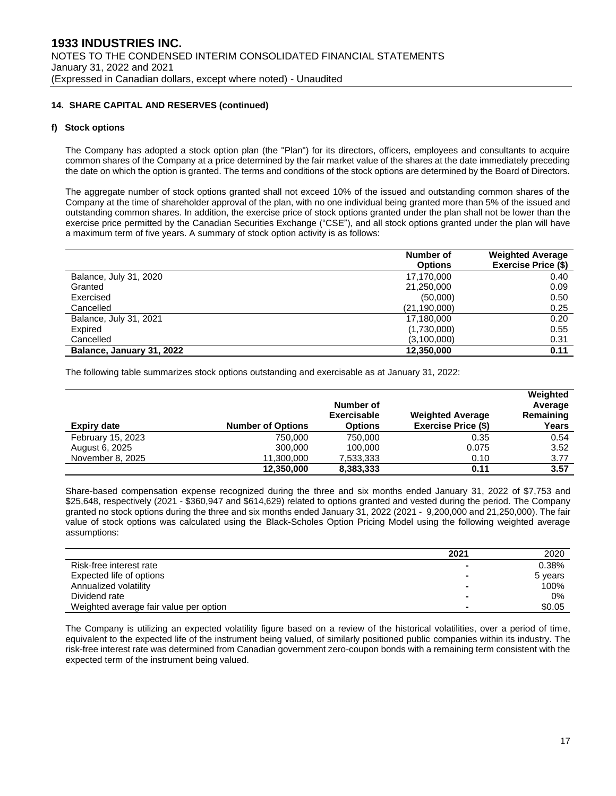#### **14. SHARE CAPITAL AND RESERVES (continued)**

#### **f) Stock options**

The Company has adopted a stock option plan (the "Plan") for its directors, officers, employees and consultants to acquire common shares of the Company at a price determined by the fair market value of the shares at the date immediately preceding the date on which the option is granted. The terms and conditions of the stock options are determined by the Board of Directors.

The aggregate number of stock options granted shall not exceed 10% of the issued and outstanding common shares of the Company at the time of shareholder approval of the plan, with no one individual being granted more than 5% of the issued and outstanding common shares. In addition, the exercise price of stock options granted under the plan shall not be lower than the exercise price permitted by the Canadian Securities Exchange ("CSE"), and all stock options granted under the plan will have a maximum term of five years. A summary of stock option activity is as follows:

|                           | Number of      | <b>Weighted Average</b>    |
|---------------------------|----------------|----------------------------|
|                           | <b>Options</b> | <b>Exercise Price (\$)</b> |
| Balance, July 31, 2020    | 17,170,000     | 0.40                       |
| Granted                   | 21,250,000     | 0.09                       |
| Exercised                 | (50,000)       | 0.50                       |
| Cancelled                 | (21, 190, 000) | 0.25                       |
| Balance, July 31, 2021    | 17,180,000     | 0.20                       |
| Expired                   | (1,730,000)    | 0.55                       |
| Cancelled                 | (3,100,000)    | 0.31                       |
| Balance, January 31, 2022 | 12,350,000     | 0.11                       |

The following table summarizes stock options outstanding and exercisable as at January 31, 2022:

| Expiry date       | <b>Number of Options</b> | Number of<br><b>Exercisable</b><br><b>Options</b> | <b>Weighted Average</b><br><b>Exercise Price (\$)</b> | Weighted<br>Average<br>Remaining<br>Years |
|-------------------|--------------------------|---------------------------------------------------|-------------------------------------------------------|-------------------------------------------|
| February 15, 2023 | 750,000                  | 750,000                                           | 0.35                                                  | 0.54                                      |
| August 6, 2025    | 300,000                  | 100.000                                           | 0.075                                                 | 3.52                                      |
| November 8, 2025  | 11,300,000               | 7,533,333                                         | 0.10                                                  | 3.77                                      |
|                   | 12,350,000               | 8,383,333                                         | 0.11                                                  | 3.57                                      |

Share-based compensation expense recognized during the three and six months ended January 31, 2022 of \$7,753 and \$25,648, respectively (2021 - \$360,947 and \$614,629) related to options granted and vested during the period. The Company granted no stock options during the three and six months ended January 31, 2022 (2021 - 9,200,000 and 21,250,000). The fair value of stock options was calculated using the Black-Scholes Option Pricing Model using the following weighted average assumptions:

|                                        | 2021 | 2020    |
|----------------------------------------|------|---------|
| Risk-free interest rate                | -    | 0.38%   |
| Expected life of options               |      | 5 years |
| Annualized volatility                  |      | 100%    |
| Dividend rate                          |      | $0\%$   |
| Weighted average fair value per option |      | \$0.05  |

The Company is utilizing an expected volatility figure based on a review of the historical volatilities, over a period of time, equivalent to the expected life of the instrument being valued, of similarly positioned public companies within its industry. The risk-free interest rate was determined from Canadian government zero-coupon bonds with a remaining term consistent with the expected term of the instrument being valued.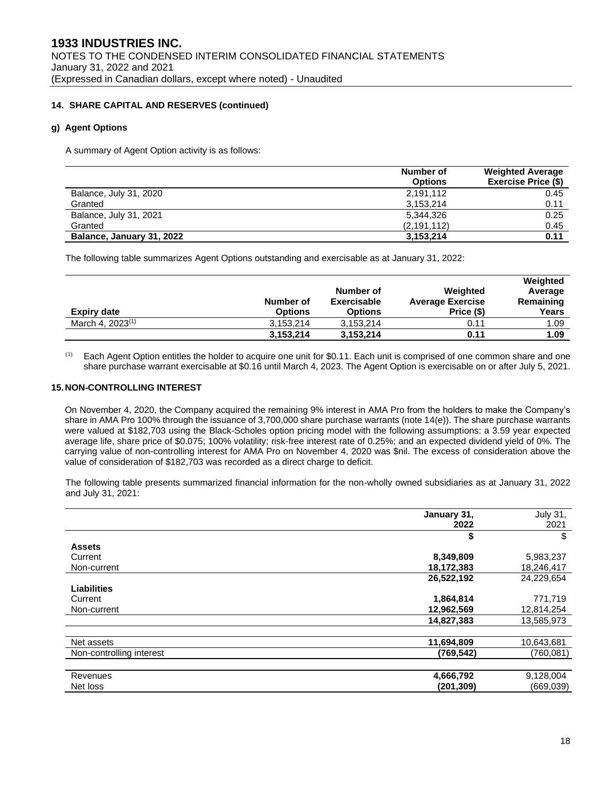### **14. SHARE CAPITAL AND RESERVES (continued)**

### **g) Agent Options**

A summary of Agent Option activity is as follows:

|                           | Number of<br><b>Options</b> | <b>Weighted Average</b><br><b>Exercise Price (\$)</b> |
|---------------------------|-----------------------------|-------------------------------------------------------|
| Balance, July 31, 2020    | 2,191,112                   | 0.45                                                  |
| Granted                   | 3,153,214                   | 0.11                                                  |
| Balance, July 31, 2021    | 5.344.326                   | 0.25                                                  |
| Granted                   | (2, 191, 112)               | 0.45                                                  |
| Balance, January 31, 2022 | 3,153,214                   | 0.11                                                  |

The following table summarizes Agent Options outstanding and exercisable as at January 31, 2022:

| <b>Expiry date</b>           | Number of<br><b>Options</b> | Number of<br><b>Exercisable</b><br><b>Options</b> | Weighted<br><b>Average Exercise</b><br>Price (\$) | Weighted<br>Average<br>Remaining<br>Years |
|------------------------------|-----------------------------|---------------------------------------------------|---------------------------------------------------|-------------------------------------------|
| March 4, 2023 <sup>(1)</sup> | 3.153.214                   | 3,153,214                                         | 0.11                                              | 1.09                                      |
|                              | 3,153,214                   | 3,153,214                                         | 0.11                                              | 1.09                                      |

 $<sup>(1)</sup>$  Each Agent Option entitles the holder to acquire one unit for \$0.11. Each unit is comprised of one common share and one</sup> share purchase warrant exercisable at \$0.16 until March 4, 2023. The Agent Option is exercisable on or after July 5, 2021.

#### **15.NON-CONTROLLING INTEREST**

On November 4, 2020, the Company acquired the remaining 9% interest in AMA Pro from the holders to make the Company's share in AMA Pro 100% through the issuance of 3,700,000 share purchase warrants (note 14(e)). The share purchase warrants were valued at \$182,703 using the Black-Scholes option pricing model with the following assumptions: a 3.59 year expected average life, share price of \$0.075; 100% volatility; risk-free interest rate of 0.25%; and an expected dividend yield of 0%. The carrying value of non-controlling interest for AMA Pro on November 4, 2020 was \$nil. The excess of consideration above the value of consideration of \$182,703 was recorded as a direct charge to deficit.

The following table presents summarized financial information for the non-wholly owned subsidiaries as at January 31, 2022 and July 31, 2021:

|                          | January 31, | <b>July 31,</b> |
|--------------------------|-------------|-----------------|
|                          | 2022        | 2021            |
|                          | \$          | \$              |
| <b>Assets</b>            |             |                 |
| Current                  | 8,349,809   | 5,983,237       |
| Non-current              | 18,172,383  | 18,246,417      |
|                          | 26,522,192  | 24,229,654      |
| <b>Liabilities</b>       |             |                 |
| Current                  | 1,864,814   | 771,719         |
| Non-current              | 12,962,569  | 12,814,254      |
|                          | 14,827,383  | 13,585,973      |
|                          |             |                 |
| Net assets               | 11,694,809  | 10,643,681      |
| Non-controlling interest | (769, 542)  | (760, 081)      |
|                          |             |                 |
| Revenues                 | 4,666,792   | 9,128,004       |
| Net loss                 | (201, 309)  | (669, 039)      |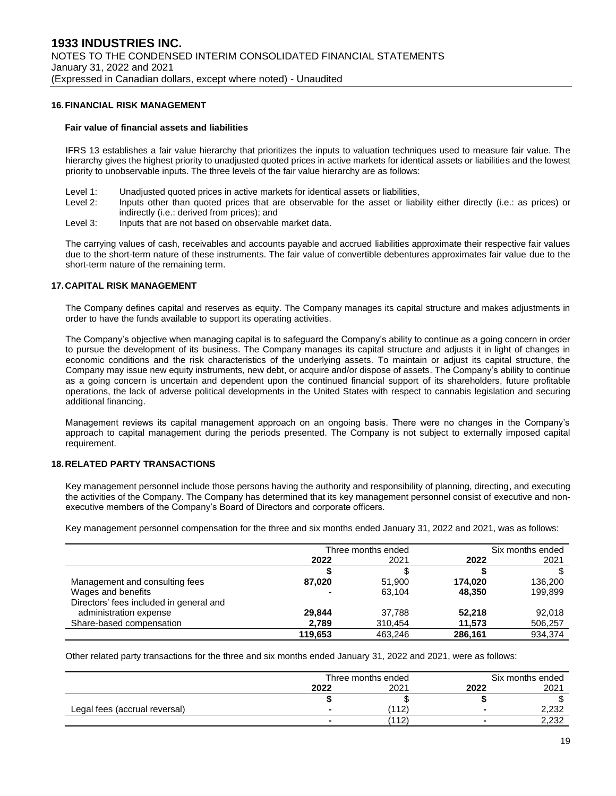#### **16.FINANCIAL RISK MANAGEMENT**

#### **Fair value of financial assets and liabilities**

IFRS 13 establishes a fair value hierarchy that prioritizes the inputs to valuation techniques used to measure fair value. The hierarchy gives the highest priority to unadjusted quoted prices in active markets for identical assets or liabilities and the lowest priority to unobservable inputs. The three levels of the fair value hierarchy are as follows:

- Level 1: Unadjusted quoted prices in active markets for identical assets or liabilities,
- Level 2: Inputs other than quoted prices that are observable for the asset or liability either directly (i.e.: as prices) or indirectly (i.e.: derived from prices); and
- Level 3: Inputs that are not based on observable market data.

The carrying values of cash, receivables and accounts payable and accrued liabilities approximate their respective fair values due to the short-term nature of these instruments. The fair value of convertible debentures approximates fair value due to the short-term nature of the remaining term.

#### **17.CAPITAL RISK MANAGEMENT**

The Company defines capital and reserves as equity. The Company manages its capital structure and makes adjustments in order to have the funds available to support its operating activities.

The Company's objective when managing capital is to safeguard the Company's ability to continue as a going concern in order to pursue the development of its business. The Company manages its capital structure and adjusts it in light of changes in economic conditions and the risk characteristics of the underlying assets. To maintain or adjust its capital structure, the Company may issue new equity instruments, new debt, or acquire and/or dispose of assets. The Company's ability to continue as a going concern is uncertain and dependent upon the continued financial support of its shareholders, future profitable operations, the lack of adverse political developments in the United States with respect to cannabis legislation and securing additional financing.

Management reviews its capital management approach on an ongoing basis. There were no changes in the Company's approach to capital management during the periods presented. The Company is not subject to externally imposed capital requirement.

#### **18.RELATED PARTY TRANSACTIONS**

Key management personnel include those persons having the authority and responsibility of planning, directing, and executing the activities of the Company. The Company has determined that its key management personnel consist of executive and nonexecutive members of the Company's Board of Directors and corporate officers.

Key management personnel compensation for the three and six months ended January 31, 2022 and 2021, was as follows:

|                                         | Three months ended |         | Six months ended |         |
|-----------------------------------------|--------------------|---------|------------------|---------|
|                                         | 2022               | 2021    | 2022             | 2021    |
|                                         |                    |         |                  |         |
| Management and consulting fees          | 87,020             | 51.900  | 174.020          | 136,200 |
| Wages and benefits                      | $\blacksquare$     | 63.104  | 48.350           | 199,899 |
| Directors' fees included in general and |                    |         |                  |         |
| administration expense                  | 29.844             | 37.788  | 52.218           | 92.018  |
| Share-based compensation                | 2,789              | 310,454 | 11,573           | 506,257 |
|                                         | 119.653            | 463.246 | 286,161          | 934,374 |

Other related party transactions for the three and six months ended January 31, 2022 and 2021, were as follows:

|                               | Three months ended |       |                | Six months ended |  |
|-------------------------------|--------------------|-------|----------------|------------------|--|
|                               | 2022               | 2021  | 2022           | 2021             |  |
|                               |                    |       |                |                  |  |
| Legal fees (accrual reversal) |                    | (112) | $\blacksquare$ | 2.232            |  |
|                               |                    | (112) |                | 2,232            |  |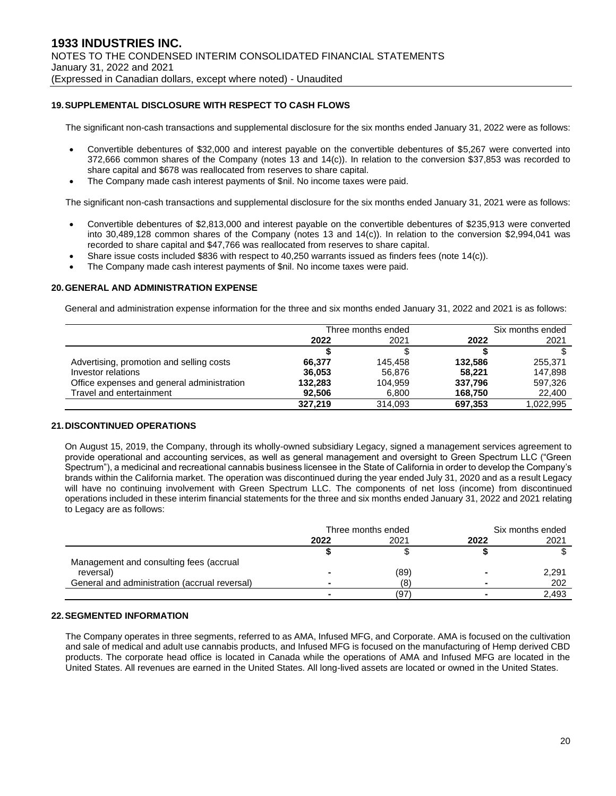## **19.SUPPLEMENTAL DISCLOSURE WITH RESPECT TO CASH FLOWS**

The significant non-cash transactions and supplemental disclosure for the six months ended January 31, 2022 were as follows:

- Convertible debentures of \$32,000 and interest payable on the convertible debentures of \$5,267 were converted into 372,666 common shares of the Company (notes 13 and 14(c)). In relation to the conversion \$37,853 was recorded to share capital and \$678 was reallocated from reserves to share capital.
- The Company made cash interest payments of \$nil. No income taxes were paid.

The significant non-cash transactions and supplemental disclosure for the six months ended January 31, 2021 were as follows:

- Convertible debentures of \$2,813,000 and interest payable on the convertible debentures of \$235,913 were converted into 30,489,128 common shares of the Company (notes 13 and 14(c)). In relation to the conversion \$2,994,041 was recorded to share capital and \$47,766 was reallocated from reserves to share capital.
- Share issue costs included \$836 with respect to 40,250 warrants issued as finders fees (note 14(c)).
- The Company made cash interest payments of \$nil. No income taxes were paid.

#### **20.GENERAL AND ADMINISTRATION EXPENSE**

General and administration expense information for the three and six months ended January 31, 2022 and 2021 is as follows:

|                                            | Three months ended |         | Six months ended |           |
|--------------------------------------------|--------------------|---------|------------------|-----------|
|                                            | 2022               | 2021    | 2022             | 2021      |
|                                            |                    |         |                  |           |
| Advertising, promotion and selling costs   | 66.377             | 145.458 | 132.586          | 255.371   |
| Investor relations                         | 36.053             | 56.876  | 58.221           | 147.898   |
| Office expenses and general administration | 132.283            | 104,959 | 337.796          | 597.326   |
| Travel and entertainment                   | 92.506             | 6,800   | 168,750          | 22,400    |
|                                            | 327.219            | 314.093 | 697,353          | 1,022,995 |

#### **21.DISCONTINUED OPERATIONS**

On August 15, 2019, the Company, through its wholly-owned subsidiary Legacy, signed a management services agreement to provide operational and accounting services, as well as general management and oversight to Green Spectrum LLC ("Green Spectrum"), a medicinal and recreational cannabis business licensee in the State of California in order to develop the Company's brands within the California market. The operation was discontinued during the year ended July 31, 2020 and as a result Legacy will have no continuing involvement with Green Spectrum LLC. The components of net loss (income) from discontinued operations included in these interim financial statements for the three and six months ended January 31, 2022 and 2021 relating to Legacy are as follows:

|                                               | Three months ended |      | Six months ended |       |
|-----------------------------------------------|--------------------|------|------------------|-------|
|                                               | 2022               | 2021 | 2022             | 2021  |
|                                               |                    |      |                  |       |
| Management and consulting fees (accrual       |                    |      |                  |       |
| reversal)                                     |                    | (89) |                  | 2,291 |
| General and administration (accrual reversal) |                    | (8)  |                  | 202   |
|                                               |                    | (97) |                  | 2,493 |

#### **22.SEGMENTED INFORMATION**

The Company operates in three segments, referred to as AMA, Infused MFG, and Corporate. AMA is focused on the cultivation and sale of medical and adult use cannabis products, and Infused MFG is focused on the manufacturing of Hemp derived CBD products. The corporate head office is located in Canada while the operations of AMA and Infused MFG are located in the United States. All revenues are earned in the United States. All long-lived assets are located or owned in the United States.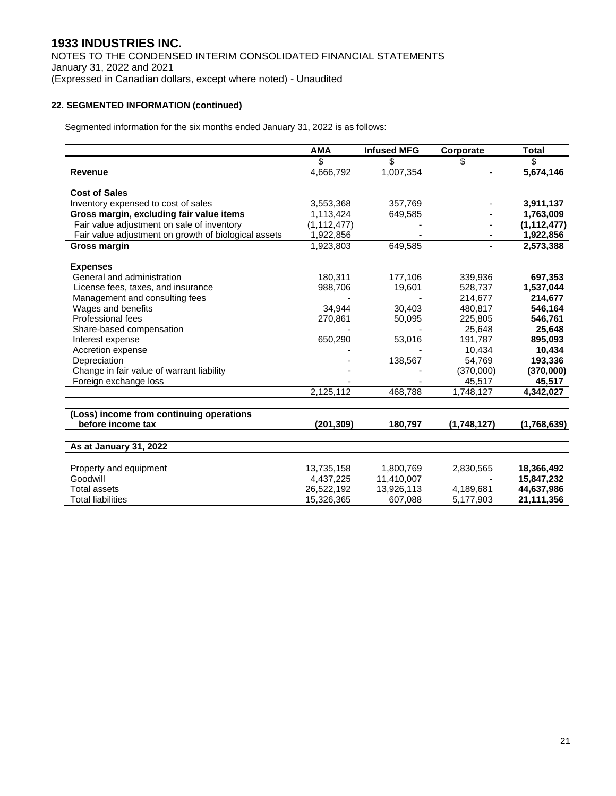## **22. SEGMENTED INFORMATION (continued)**

Segmented information for the six months ended January 31, 2022 is as follows:

|                                                      | <b>AMA</b>    | <b>Infused MFG</b> | Corporate   | <b>Total</b>  |
|------------------------------------------------------|---------------|--------------------|-------------|---------------|
|                                                      | \$            | \$                 | \$.         | \$            |
| <b>Revenue</b>                                       | 4,666,792     | 1,007,354          |             | 5,674,146     |
| <b>Cost of Sales</b>                                 |               |                    |             |               |
|                                                      |               |                    |             |               |
| Inventory expensed to cost of sales                  | 3,553,368     | 357,769            |             | 3,911,137     |
| Gross margin, excluding fair value items             | 1,113,424     | 649,585            |             | 1,763,009     |
| Fair value adjustment on sale of inventory           | (1, 112, 477) |                    |             | (1, 112, 477) |
| Fair value adjustment on growth of biological assets | 1,922,856     |                    |             | 1,922,856     |
| <b>Gross margin</b>                                  | 1,923,803     | 649,585            |             | 2,573,388     |
| <b>Expenses</b>                                      |               |                    |             |               |
| General and administration                           | 180,311       | 177,106            | 339,936     | 697,353       |
| License fees, taxes, and insurance                   | 988,706       | 19,601             | 528,737     | 1,537,044     |
| Management and consulting fees                       |               |                    | 214,677     | 214,677       |
| Wages and benefits                                   | 34.944        | 30.403             | 480,817     | 546,164       |
| Professional fees                                    | 270,861       | 50,095             | 225,805     | 546,761       |
| Share-based compensation                             |               |                    | 25,648      | 25,648        |
| Interest expense                                     | 650,290       | 53,016             | 191,787     | 895,093       |
| Accretion expense                                    |               |                    | 10,434      | 10,434        |
| Depreciation                                         |               | 138,567            | 54,769      | 193,336       |
| Change in fair value of warrant liability            |               |                    | (370,000)   | (370,000)     |
| Foreign exchange loss                                |               |                    | 45,517      | 45,517        |
|                                                      | 2,125,112     | 468,788            | 1,748,127   | 4,342,027     |
|                                                      |               |                    |             |               |
| (Loss) income from continuing operations             |               |                    |             |               |
| before income tax                                    | (201, 309)    | 180,797            | (1,748,127) | (1,768,639)   |
|                                                      |               |                    |             |               |
| As at January 31, 2022                               |               |                    |             |               |
|                                                      |               |                    |             |               |
| Property and equipment                               | 13,735,158    | 1,800,769          | 2,830,565   | 18,366,492    |
| Goodwill                                             | 4,437,225     | 11,410,007         |             | 15,847,232    |
| Total assets                                         | 26,522,192    | 13,926,113         | 4,189,681   | 44,637,986    |
| <b>Total liabilities</b>                             | 15,326,365    | 607,088            | 5,177,903   | 21,111,356    |